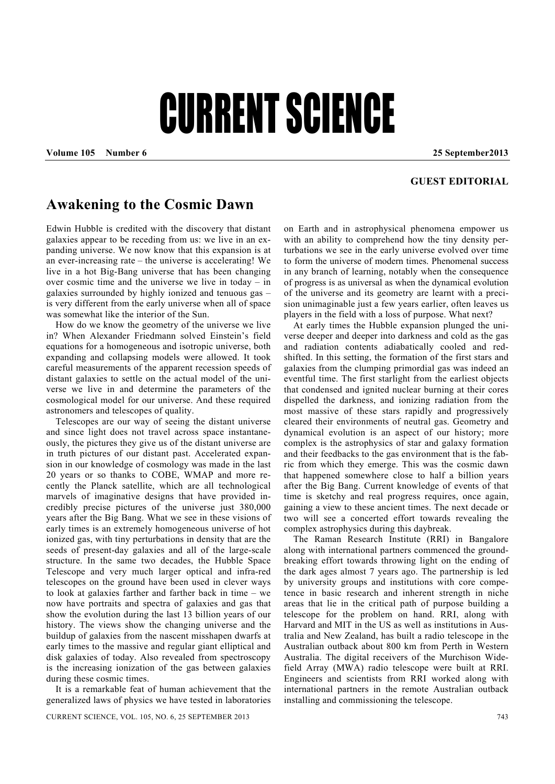## **CURRENT SCIENCE**

**Volume 105 Number 6 25 September2013** 

## **GUEST EDITORIAL**

## **Awakening to the Cosmic Dawn**

Edwin Hubble is credited with the discovery that distant galaxies appear to be receding from us: we live in an expanding universe. We now know that this expansion is at an ever-increasing rate – the universe is accelerating! We live in a hot Big-Bang universe that has been changing over cosmic time and the universe we live in today – in galaxies surrounded by highly ionized and tenuous gas – is very different from the early universe when all of space was somewhat like the interior of the Sun.

 How do we know the geometry of the universe we live in? When Alexander Friedmann solved Einstein's field equations for a homogeneous and isotropic universe, both expanding and collapsing models were allowed. It took careful measurements of the apparent recession speeds of distant galaxies to settle on the actual model of the universe we live in and determine the parameters of the cosmological model for our universe. And these required astronomers and telescopes of quality.

 Telescopes are our way of seeing the distant universe and since light does not travel across space instantaneously, the pictures they give us of the distant universe are in truth pictures of our distant past. Accelerated expansion in our knowledge of cosmology was made in the last 20 years or so thanks to COBE, WMAP and more recently the Planck satellite, which are all technological marvels of imaginative designs that have provided incredibly precise pictures of the universe just 380,000 years after the Big Bang. What we see in these visions of early times is an extremely homogeneous universe of hot ionized gas, with tiny perturbations in density that are the seeds of present-day galaxies and all of the large-scale structure. In the same two decades, the Hubble Space Telescope and very much larger optical and infra-red telescopes on the ground have been used in clever ways to look at galaxies farther and farther back in time – we now have portraits and spectra of galaxies and gas that show the evolution during the last 13 billion years of our history. The views show the changing universe and the buildup of galaxies from the nascent misshapen dwarfs at early times to the massive and regular giant elliptical and disk galaxies of today. Also revealed from spectroscopy is the increasing ionization of the gas between galaxies during these cosmic times.

 It is a remarkable feat of human achievement that the generalized laws of physics we have tested in laboratories on Earth and in astrophysical phenomena empower us with an ability to comprehend how the tiny density perturbations we see in the early universe evolved over time to form the universe of modern times. Phenomenal success in any branch of learning, notably when the consequence of progress is as universal as when the dynamical evolution of the universe and its geometry are learnt with a precision unimaginable just a few years earlier, often leaves us players in the field with a loss of purpose. What next?

 At early times the Hubble expansion plunged the universe deeper and deeper into darkness and cold as the gas and radiation contents adiabatically cooled and redshifted. In this setting, the formation of the first stars and galaxies from the clumping primordial gas was indeed an eventful time. The first starlight from the earliest objects that condensed and ignited nuclear burning at their cores dispelled the darkness, and ionizing radiation from the most massive of these stars rapidly and progressively cleared their environments of neutral gas. Geometry and dynamical evolution is an aspect of our history; more complex is the astrophysics of star and galaxy formation and their feedbacks to the gas environment that is the fabric from which they emerge. This was the cosmic dawn that happened somewhere close to half a billion years after the Big Bang. Current knowledge of events of that time is sketchy and real progress requires, once again, gaining a view to these ancient times. The next decade or two will see a concerted effort towards revealing the complex astrophysics during this daybreak.

 The Raman Research Institute (RRI) in Bangalore along with international partners commenced the groundbreaking effort towards throwing light on the ending of the dark ages almost 7 years ago. The partnership is led by university groups and institutions with core competence in basic research and inherent strength in niche areas that lie in the critical path of purpose building a telescope for the problem on hand. RRI, along with Harvard and MIT in the US as well as institutions in Australia and New Zealand, has built a radio telescope in the Australian outback about 800 km from Perth in Western Australia. The digital receivers of the Murchison Widefield Array (MWA) radio telescope were built at RRI. Engineers and scientists from RRI worked along with international partners in the remote Australian outback installing and commissioning the telescope.